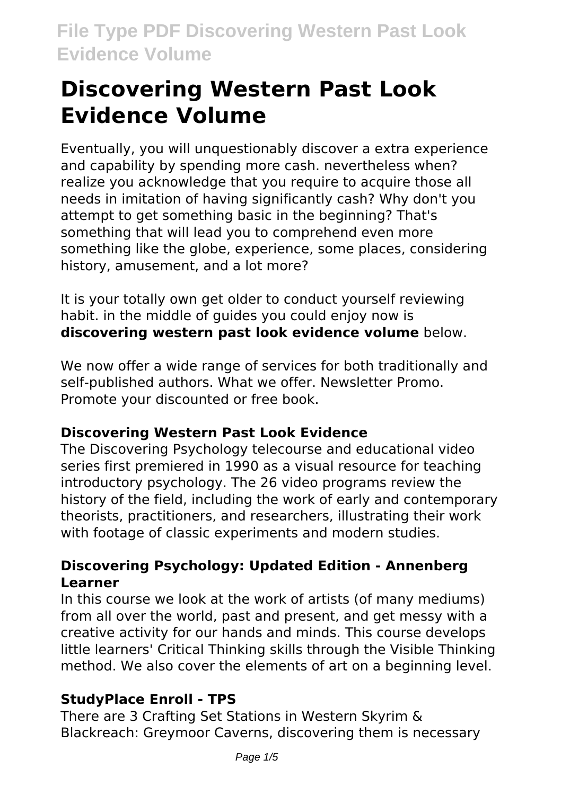# **Discovering Western Past Look Evidence Volume**

Eventually, you will unquestionably discover a extra experience and capability by spending more cash. nevertheless when? realize you acknowledge that you require to acquire those all needs in imitation of having significantly cash? Why don't you attempt to get something basic in the beginning? That's something that will lead you to comprehend even more something like the globe, experience, some places, considering history, amusement, and a lot more?

It is your totally own get older to conduct yourself reviewing habit. in the middle of guides you could enjoy now is **discovering western past look evidence volume** below.

We now offer a wide range of services for both traditionally and self-published authors. What we offer. Newsletter Promo. Promote your discounted or free book.

# **Discovering Western Past Look Evidence**

The Discovering Psychology telecourse and educational video series first premiered in 1990 as a visual resource for teaching introductory psychology. The 26 video programs review the history of the field, including the work of early and contemporary theorists, practitioners, and researchers, illustrating their work with footage of classic experiments and modern studies.

## **Discovering Psychology: Updated Edition - Annenberg Learner**

In this course we look at the work of artists (of many mediums) from all over the world, past and present, and get messy with a creative activity for our hands and minds. This course develops little learners' Critical Thinking skills through the Visible Thinking method. We also cover the elements of art on a beginning level.

# **StudyPlace Enroll - TPS**

There are 3 Crafting Set Stations in Western Skyrim & Blackreach: Greymoor Caverns, discovering them is necessary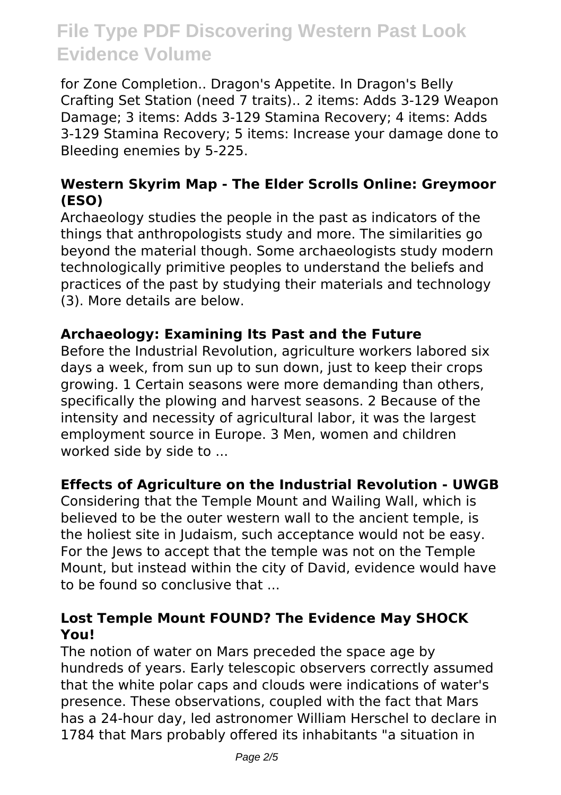for Zone Completion.. Dragon's Appetite. In Dragon's Belly Crafting Set Station (need 7 traits).. 2 items: Adds 3-129 Weapon Damage; 3 items: Adds 3-129 Stamina Recovery; 4 items: Adds 3-129 Stamina Recovery; 5 items: Increase your damage done to Bleeding enemies by 5-225.

## **Western Skyrim Map - The Elder Scrolls Online: Greymoor (ESO)**

Archaeology studies the people in the past as indicators of the things that anthropologists study and more. The similarities go beyond the material though. Some archaeologists study modern technologically primitive peoples to understand the beliefs and practices of the past by studying their materials and technology (3). More details are below.

## **Archaeology: Examining Its Past and the Future**

Before the Industrial Revolution, agriculture workers labored six days a week, from sun up to sun down, just to keep their crops growing. 1 Certain seasons were more demanding than others, specifically the plowing and harvest seasons. 2 Because of the intensity and necessity of agricultural labor, it was the largest employment source in Europe. 3 Men, women and children worked side by side to ...

# **Effects of Agriculture on the Industrial Revolution - UWGB**

Considering that the Temple Mount and Wailing Wall, which is believed to be the outer western wall to the ancient temple, is the holiest site in Judaism, such acceptance would not be easy. For the Jews to accept that the temple was not on the Temple Mount, but instead within the city of David, evidence would have to be found so conclusive that ...

# **Lost Temple Mount FOUND? The Evidence May SHOCK You!**

The notion of water on Mars preceded the space age by hundreds of years. Early telescopic observers correctly assumed that the white polar caps and clouds were indications of water's presence. These observations, coupled with the fact that Mars has a 24-hour day, led astronomer William Herschel to declare in 1784 that Mars probably offered its inhabitants "a situation in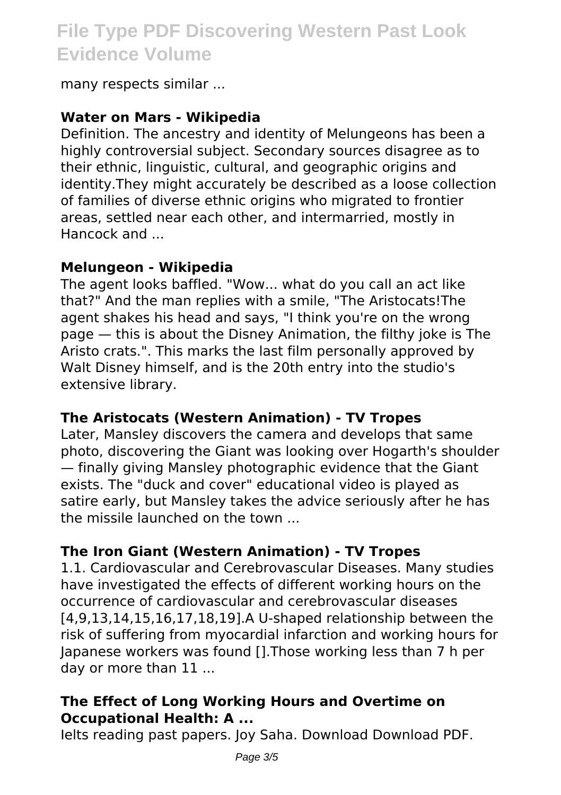many respects similar ...

#### **Water on Mars - Wikipedia**

Definition. The ancestry and identity of Melungeons has been a highly controversial subject. Secondary sources disagree as to their ethnic, linguistic, cultural, and geographic origins and identity.They might accurately be described as a loose collection of families of diverse ethnic origins who migrated to frontier areas, settled near each other, and intermarried, mostly in Hancock and ...

#### **Melungeon - Wikipedia**

The agent looks baffled. "Wow... what do you call an act like that?" And the man replies with a smile, "The Aristocats!The agent shakes his head and says, "I think you're on the wrong page — this is about the Disney Animation, the filthy joke is The Aristo crats.". This marks the last film personally approved by Walt Disney himself, and is the 20th entry into the studio's extensive library.

#### **The Aristocats (Western Animation) - TV Tropes**

Later, Mansley discovers the camera and develops that same photo, discovering the Giant was looking over Hogarth's shoulder — finally giving Mansley photographic evidence that the Giant exists. The "duck and cover" educational video is played as satire early, but Mansley takes the advice seriously after he has the missile launched on the town ...

# **The Iron Giant (Western Animation) - TV Tropes**

1.1. Cardiovascular and Cerebrovascular Diseases. Many studies have investigated the effects of different working hours on the occurrence of cardiovascular and cerebrovascular diseases [4,9,13,14,15,16,17,18,19].A U-shaped relationship between the risk of suffering from myocardial infarction and working hours for Japanese workers was found [].Those working less than 7 h per day or more than 11 ...

## **The Effect of Long Working Hours and Overtime on Occupational Health: A ...**

Ielts reading past papers. Joy Saha. Download Download PDF.